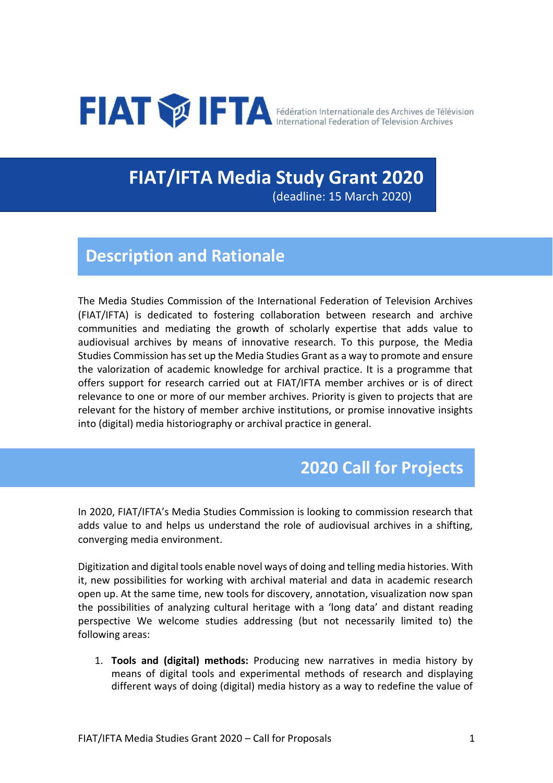

# **FIAT/IFTA Media Study Grant 2020**

(deadline: 15 March 2020)

#### **Description and Rationale**

The Media Studies Commission of the International Federation of Television Archives (FIAT/IFTA) is dedicated to fostering collaboration between research and archive communities and mediating the growth of scholarly expertise that adds value to audiovisual archives by means of innovative research. To this purpose, the Media Studies Commission has set up the Media Studies Grant as a way to promote and ensure the valorization of academic knowledge for archival practice. It is a programme that offers support for research carried out at FIAT/IFTA member archives or is of direct relevance to one or more of our member archives. Priority is given to projects that are relevant for the history of member archive institutions, or promise innovative insights into (digital) media historiography or archival practice in general.

# **2020 Call for Projects**

In 2020, FIAT/IFTA's Media Studies Commission is looking to commission research that adds value to and helps us understand the role of audiovisual archives in a shifting, converging media environment.

Digitization and digital tools enable novel ways of doing and telling media histories. With it, new possibilities for working with archival material and data in academic research open up. At the same time, new tools for discovery, annotation, visualization now span the possibilities of analyzing cultural heritage with a 'long data' and distant reading perspective We welcome studies addressing (but not necessarily limited to) the following areas:

1. **Tools and (digital) methods:** Producing new narratives in media history by means of digital tools and experimental methods of research and displaying different ways of doing (digital) media history as a way to redefine the value of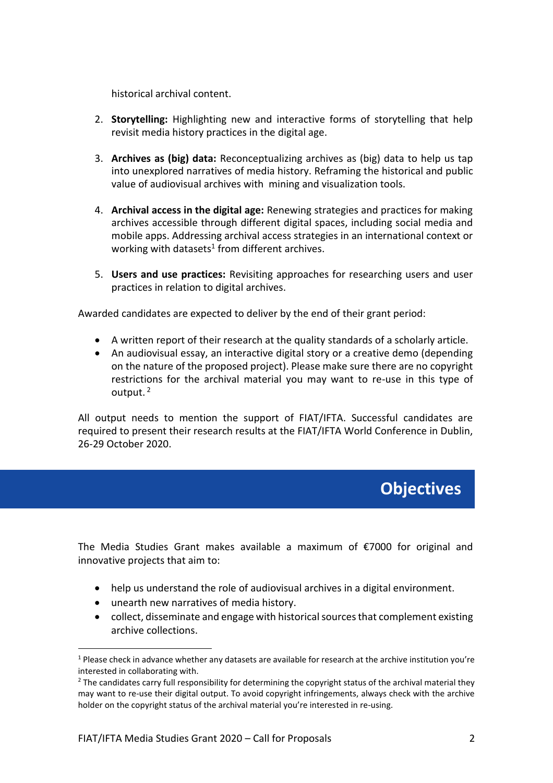historical archival content.

- 2. **Storytelling:** Highlighting new and interactive forms of storytelling that help revisit media history practices in the digital age.
- 3. **Archives as (big) data:** Reconceptualizing archives as (big) data to help us tap into unexplored narratives of media history. Reframing the historical and public value of audiovisual archives with mining and visualization tools.
- 4. **Archival access in the digital age:** Renewing strategies and practices for making archives accessible through different digital spaces, including social media and mobile apps. Addressing archival access strategies in an international context or working with datasets<sup>1</sup> from different archives.
- 5. **Users and use practices:** Revisiting approaches for researching users and user practices in relation to digital archives.

Awarded candidates are expected to deliver by the end of their grant period:

- A written report of their research at the quality standards of a scholarly article.
- An audiovisual essay, an interactive digital story or a creative demo (depending on the nature of the proposed project). Please make sure there are no copyright restrictions for the archival material you may want to re-use in this type of output.<sup>2</sup>

All output needs to mention the support of FIAT/IFTA. Successful candidates are required to present their research results at the FIAT/IFTA World Conference in Dublin, 26-29 October 2020.



The Media Studies Grant makes available a maximum of €7000 for original and innovative projects that aim to:

- help us understand the role of audiovisual archives in a digital environment.
- unearth new narratives of media history.
- collect, disseminate and engage with historical sources that complement existing archive collections.

 $1$  Please check in advance whether any datasets are available for research at the archive institution you're interested in collaborating with.

<sup>&</sup>lt;sup>2</sup> The candidates carry full responsibility for determining the copyright status of the archival material they may want to re-use their digital output. To avoid copyright infringements, always check with the archive holder on the copyright status of the archival material you're interested in re-using.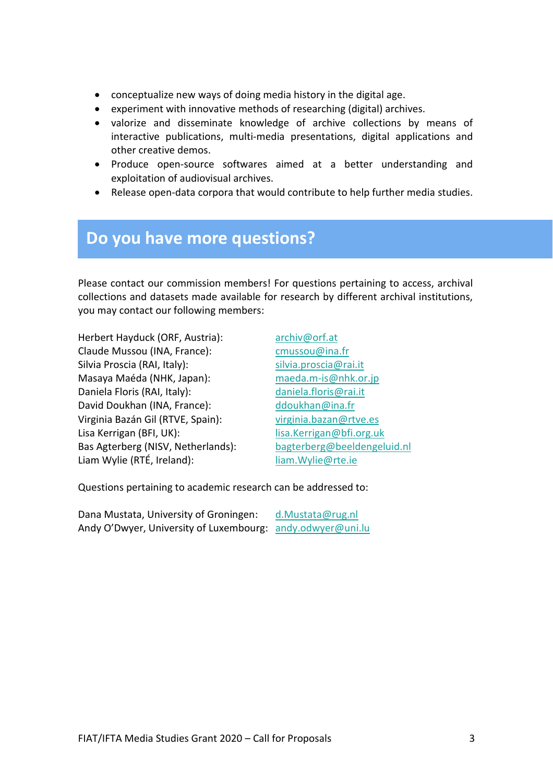- conceptualize new ways of doing media history in the digital age.
- experiment with innovative methods of researching (digital) archives.
- valorize and disseminate knowledge of archive collections by means of interactive publications, multi-media presentations, digital applications and other creative demos.
- Produce open-source softwares aimed at a better understanding and exploitation of audiovisual archives.
- Release open-data corpora that would contribute to help further media studies.

#### **Do you have more questions?**

Please contact our commission members! For questions pertaining to access, archival collections and datasets made available for research by different archival institutions, you may contact our following members:

Herbert Hayduck (ORF, Austria): [archiv@orf.at](mailto:archiv@orf.at) Claude Mussou (INA, France): [cmussou@ina.fr](mailto:cmussou@ina.fr) Silvia Proscia (RAI, Italy): [silvia.proscia@rai.it](mailto:silvia.proscia@rai.it) Masaya Maéda (NHK, Japan): [maeda.m-is@nhk.or.jp](mailto:maeda.m-is@nhk.or.jp) Daniela Floris (RAI, Italy): [daniela.floris@rai.it](mailto:daniela.floris@rai.it) David Doukhan (INA, France): [ddoukhan@ina.fr](mailto:ddoukhan@ina.fr) Virginia Bazán Gil (RTVE, Spain): [virginia.bazan@rtve.es](mailto:virginia.bazan@rtve.es) Lisa Kerrigan (BFI, UK): [lisa.Kerrigan@bfi.org.uk](mailto:lisa.Kerrigan@bfi.org.uk) Bas Agterberg (NISV, Netherlands): [bagterberg@beeldengeluid.nl](mailto:bagterberg@beeldengeluid.nl) Liam Wylie (RTÉ, Ireland): [liam.Wylie@rte.ie](mailto:liam.Wylie@rte.ie)

Questions pertaining to academic research can be addressed to:

Dana Mustata, University of Groningen: [d.Mustata@rug.nl](mailto:d.Mustata@rug.nl) Andy O'Dwyer, University of Luxembourg: [andy.odwyer@uni.lu](mailto:andy.odwyer@uni.lu)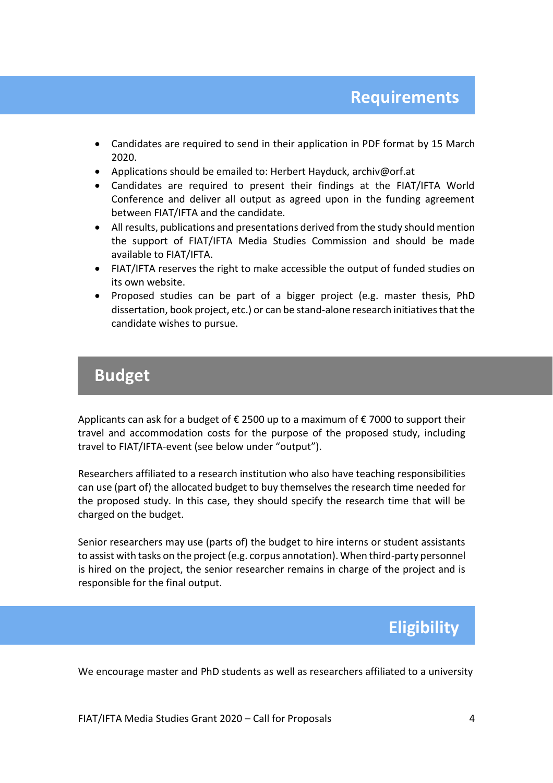- Candidates are required to send in their application in PDF format by 15 March 2020.
- Applications should be emailed to: Herbert Hayduck, [archiv@orf.at](mailto:archiv@orf.at)
- Candidates are required to present their findings at the FIAT/IFTA World Conference and deliver all output as agreed upon in the funding agreement between FIAT/IFTA and the candidate.
- All results, publications and presentations derived from the study should mention the support of FIAT/IFTA Media Studies Commission and should be made available to FIAT/IFTA.
- FIAT/IFTA reserves the right to make accessible the output of funded studies on its own website.
- Proposed studies can be part of a bigger project (e.g. master thesis, PhD dissertation, book project, etc.) or can be stand-alone research initiatives that the candidate wishes to pursue.

## **Budget**

Applicants can ask for a budget of  $\epsilon$  2500 up to a maximum of  $\epsilon$  7000 to support their travel and accommodation costs for the purpose of the proposed study, including travel to FIAT/IFTA-event (see below under "output").

Researchers affiliated to a research institution who also have teaching responsibilities can use (part of) the allocated budget to buy themselves the research time needed for the proposed study. In this case, they should specify the research time that will be charged on the budget.

Senior researchers may use (parts of) the budget to hire interns or student assistants to assist with tasks on the project (e.g. corpus annotation). When third-party personnel is hired on the project, the senior researcher remains in charge of the project and is responsible for the final output.



We encourage master and PhD students as well as researchers affiliated to a university

FIAT/IFTA Media Studies Grant 2020 – Call for Proposals 4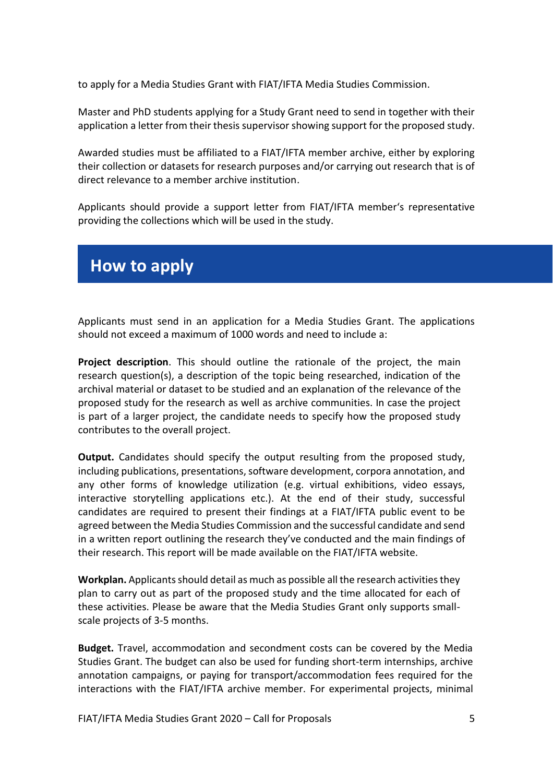to apply for a Media Studies Grant with FIAT/IFTA Media Studies Commission.

Master and PhD students applying for a Study Grant need to send in together with their application a letter from their thesis supervisor showing support for the proposed study.

Awarded studies must be affiliated to a FIAT/IFTA member archive, either by exploring their collection or datasets for research purposes and/or carrying out research that is of direct relevance to a member archive institution.

Applicants should provide a support letter from FIAT/IFTA member's representative providing the collections which will be used in the study.

## **How to apply**

Applicants must send in an application for a Media Studies Grant. The applications should not exceed a maximum of 1000 words and need to include a:

**Project description**. This should outline the rationale of the project, the main research question(s), a description of the topic being researched, indication of the archival material or dataset to be studied and an explanation of the relevance of the proposed study for the research as well as archive communities. In case the project is part of a larger project, the candidate needs to specify how the proposed study contributes to the overall project.

**Output.** Candidates should specify the output resulting from the proposed study, including publications, presentations, software development, corpora annotation, and any other forms of knowledge utilization (e.g. virtual exhibitions, video essays, interactive storytelling applications etc.). At the end of their study, successful candidates are required to present their findings at a FIAT/IFTA public event to be agreed between the Media Studies Commission and the successful candidate and send in a written report outlining the research they've conducted and the main findings of their research. This report will be made available on the FIAT/IFTA website.

**Workplan.** Applicants should detail as much as possible all the research activities they plan to carry out as part of the proposed study and the time allocated for each of these activities. Please be aware that the Media Studies Grant only supports smallscale projects of 3-5 months.

**Budget.** Travel, accommodation and secondment costs can be covered by the Media Studies Grant. The budget can also be used for funding short-term internships, archive annotation campaigns, or paying for transport/accommodation fees required for the interactions with the FIAT/IFTA archive member. For experimental projects, minimal